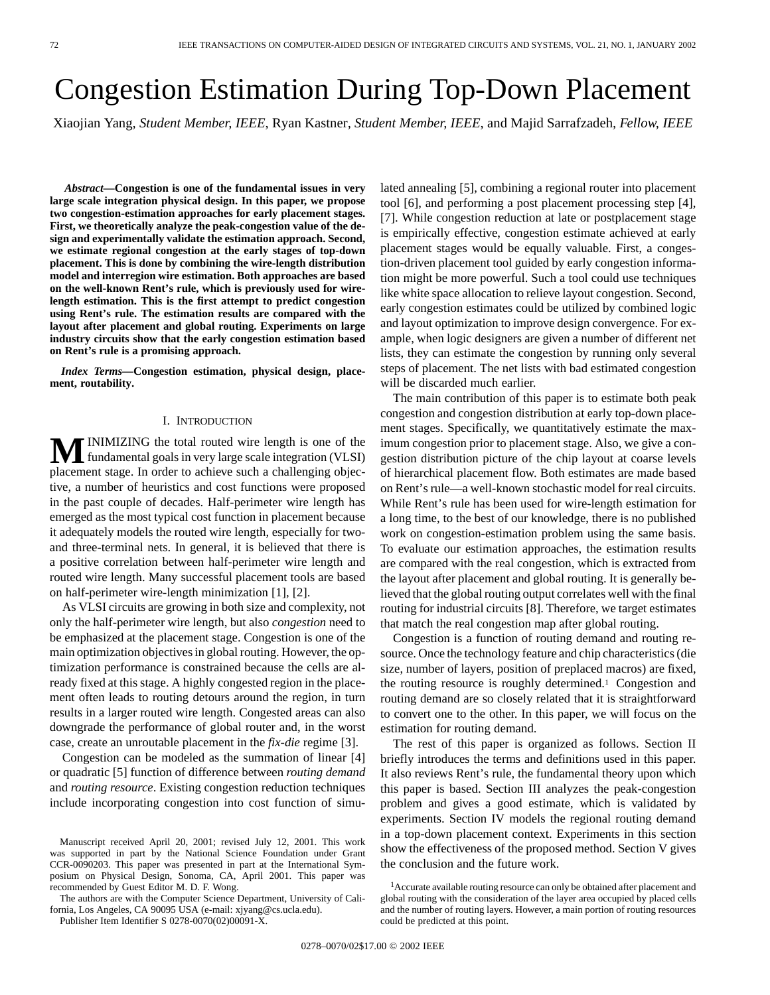# Congestion Estimation During Top-Down Placement

Xiaojian Yang*, Student Member, IEEE*, Ryan Kastner*, Student Member, IEEE*, and Majid Sarrafzadeh*, Fellow, IEEE*

*Abstract—***Congestion is one of the fundamental issues in very large scale integration physical design. In this paper, we propose two congestion-estimation approaches for early placement stages. First, we theoretically analyze the peak-congestion value of the design and experimentally validate the estimation approach. Second, we estimate regional congestion at the early stages of top-down placement. This is done by combining the wire-length distribution model and interregion wire estimation. Both approaches are based on the well-known Rent's rule, which is previously used for wirelength estimation. This is the first attempt to predict congestion using Rent's rule. The estimation results are compared with the layout after placement and global routing. Experiments on large industry circuits show that the early congestion estimation based on Rent's rule is a promising approach.**

*Index Terms—***Congestion estimation, physical design, placement, routability.**

#### I. INTRODUCTION

**M**INIMIZING the total routed wire length is one of the fundamental goals in very large scale integration (VLSI) placement stage. In order to achieve such a challenging objective, a number of heuristics and cost functions were proposed in the past couple of decades. Half-perimeter wire length has emerged as the most typical cost function in placement because it adequately models the routed wire length, especially for twoand three-terminal nets. In general, it is believed that there is a positive correlation between half-perimeter wire length and routed wire length. Many successful placement tools are based on half-perimeter wire-length minimization [1], [2].

As VLSI circuits are growing in both size and complexity, not only the half-perimeter wire length, but also *congestion* need to be emphasized at the placement stage. Congestion is one of the main optimization objectives in global routing. However, the optimization performance is constrained because the cells are already fixed at this stage. A highly congested region in the placement often leads to routing detours around the region, in turn results in a larger routed wire length. Congested areas can also downgrade the performance of global router and, in the worst case, create an unroutable placement in the *fix-die* regime [3].

Congestion can be modeled as the summation of linear [4] or quadratic [5] function of difference between *routing demand* and *routing resource*. Existing congestion reduction techniques include incorporating congestion into cost function of simu-

The authors are with the Computer Science Department, University of California, Los Angeles, CA 90095 USA (e-mail: xjyang@cs.ucla.edu).

Publisher Item Identifier S 0278-0070(02)00091-X.

lated annealing [5], combining a regional router into placement tool [6], and performing a post placement processing step [4], [7]. While congestion reduction at late or postplacement stage is empirically effective, congestion estimate achieved at early placement stages would be equally valuable. First, a congestion-driven placement tool guided by early congestion information might be more powerful. Such a tool could use techniques like white space allocation to relieve layout congestion. Second, early congestion estimates could be utilized by combined logic and layout optimization to improve design convergence. For example, when logic designers are given a number of different net lists, they can estimate the congestion by running only several steps of placement. The net lists with bad estimated congestion will be discarded much earlier.

The main contribution of this paper is to estimate both peak congestion and congestion distribution at early top-down placement stages. Specifically, we quantitatively estimate the maximum congestion prior to placement stage. Also, we give a congestion distribution picture of the chip layout at coarse levels of hierarchical placement flow. Both estimates are made based on Rent's rule—a well-known stochastic model for real circuits. While Rent's rule has been used for wire-length estimation for a long time, to the best of our knowledge, there is no published work on congestion-estimation problem using the same basis. To evaluate our estimation approaches, the estimation results are compared with the real congestion, which is extracted from the layout after placement and global routing. It is generally believed that the global routing output correlates well with the final routing for industrial circuits [8]. Therefore, we target estimates that match the real congestion map after global routing.

Congestion is a function of routing demand and routing resource. Once the technology feature and chip characteristics (die size, number of layers, position of preplaced macros) are fixed, the routing resource is roughly determined.<sup>1</sup> Congestion and routing demand are so closely related that it is straightforward to convert one to the other. In this paper, we will focus on the estimation for routing demand.

The rest of this paper is organized as follows. Section II briefly introduces the terms and definitions used in this paper. It also reviews Rent's rule, the fundamental theory upon which this paper is based. Section III analyzes the peak-congestion problem and gives a good estimate, which is validated by experiments. Section IV models the regional routing demand in a top-down placement context. Experiments in this section show the effectiveness of the proposed method. Section V gives the conclusion and the future work.

Manuscript received April 20, 2001; revised July 12, 2001. This work was supported in part by the National Science Foundation under Grant CCR-0090203. This paper was presented in part at the International Symposium on Physical Design, Sonoma, CA, April 2001. This paper was recommended by Guest Editor M. D. F. Wong.

<sup>1</sup>Accurate available routing resource can only be obtained after placement and global routing with the consideration of the layer area occupied by placed cells and the number of routing layers. However, a main portion of routing resources could be predicted at this point.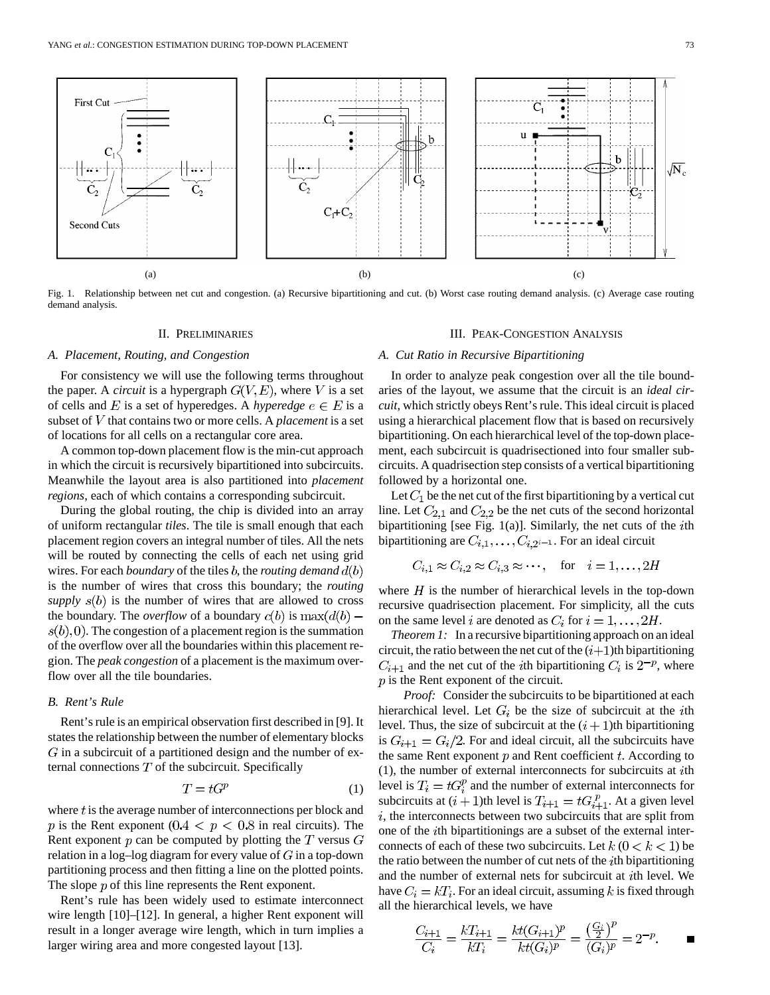

Fig. 1. Relationship between net cut and congestion. (a) Recursive bipartitioning and cut. (b) Worst case routing demand analysis. (c) Average case routing demand analysis.

#### II. PRELIMINARIES

#### *A. Placement, Routing, and Congestion*

For consistency we will use the following terms throughout the paper. A *circuit* is a hypergraph  $G(V, E)$ , where V is a set of cells and E is a set of hyperedges. A *hyperedge*  $e \in E$  is a subset of  $V$  that contains two or more cells. A *placement* is a set of locations for all cells on a rectangular core area.

A common top-down placement flow is the min-cut approach in which the circuit is recursively bipartitioned into subcircuits. Meanwhile the layout area is also partitioned into *placement regions*, each of which contains a corresponding subcircuit.

During the global routing, the chip is divided into an array of uniform rectangular *tiles*. The tile is small enough that each placement region covers an integral number of tiles. All the nets will be routed by connecting the cells of each net using grid wires. For each *boundary* of the tiles  $b$ , the *routing demand*  $d(b)$ is the number of wires that cross this boundary; the *routing supply*  $s(b)$  is the number of wires that are allowed to cross the boundary. The *overflow* of a boundary  $c(b)$  is  $\max(d(b)$  $s(b)$ , 0). The congestion of a placement region is the summation of the overflow over all the boundaries within this placement region. The *peak congestion* of a placement is the maximum overflow over all the tile boundaries.

# *B. Rent's Rule*

Rent's rule is an empirical observation first described in [9]. It states the relationship between the number of elementary blocks  $G$  in a subcircuit of a partitioned design and the number of external connections  $T$  of the subcircuit. Specifically

$$
T = tG^p \tag{1}
$$

where  $t$  is the average number of interconnections per block and p is the Rent exponent  $(0.4 < p < 0.8$  in real circuits). The Rent exponent  $p$  can be computed by plotting the  $T$  versus  $G$ relation in a log-log diagram for every value of  $G$  in a top-down partitioning process and then fitting a line on the plotted points. The slope  $p$  of this line represents the Rent exponent.

Rent's rule has been widely used to estimate interconnect wire length [10]–[12]. In general, a higher Rent exponent will result in a longer average wire length, which in turn implies a larger wiring area and more congested layout [13].

## III. PEAK-CONGESTION ANALYSIS

## *A. Cut Ratio in Recursive Bipartitioning*

In order to analyze peak congestion over all the tile boundaries of the layout, we assume that the circuit is an *ideal circuit*, which strictly obeys Rent's rule. This ideal circuit is placed using a hierarchical placement flow that is based on recursively bipartitioning. On each hierarchical level of the top-down placement, each subcircuit is quadrisectioned into four smaller subcircuits. A quadrisection step consists of a vertical bipartitioning followed by a horizontal one.

Let  $C_1$  be the net cut of the first bipartitioning by a vertical cut line. Let  $C_{2,1}$  and  $C_{2,2}$  be the net cuts of the second horizontal bipartitioning [see Fig. 1(a)]. Similarly, the net cuts of the  $i$ th bipartitioning are  $C_{i,1}, \ldots, C_{i,2^{i-1}}$ . For an ideal circuit

$$
C_{i,1} \approx C_{i,2} \approx C_{i,3} \approx \cdots, \quad \text{for} \quad i = 1, \ldots, 2H
$$

where  $H$  is the number of hierarchical levels in the top-down recursive quadrisection placement. For simplicity, all the cuts on the same level i are denoted as  $C_i$  for  $i = 1, \ldots, 2H$ .

*Theorem 1:* In a recursive bipartitioning approach on an ideal circuit, the ratio between the net cut of the  $(i+1)$ th bipartitioning  $C_{i+1}$  and the net cut of the *i*th bipartitioning  $C_i$  is  $2^{-p}$ , where  $p$  is the Rent exponent of the circuit.

*Proof:* Consider the subcircuits to be bipartitioned at each hierarchical level. Let  $G_i$  be the size of subcircuit at the *i*th level. Thus, the size of subcircuit at the  $(i + 1)$ th bipartitioning is  $G_{i+1} = G_i/2$ . For and ideal circuit, all the subcircuits have the same Rent exponent  $p$  and Rent coefficient  $t$ . According to  $(1)$ , the number of external interconnects for subcircuits at *i*th level is  $T_i = tG_i^p$  and the number of external interconnects for subcircuits at  $(i + 1)$ th level is  $T_{i+1} = tG_{i+1}^p$ . At a given level  $i$ , the interconnects between two subcircuits that are split from one of the th bipartitionings are a subset of the external interconnects of each of these two subcircuits. Let  $k ( 0 < k < 1)$  be the ratio between the number of cut nets of the  $i$ th bipartitioning and the number of external nets for subcircuit at  $i$ th level. We have  $C_i = kT_i$ . For an ideal circuit, assuming k is fixed through all the hierarchical levels, we have

$$
\frac{C_{i+1}}{C_i} = \frac{kT_{i+1}}{kT_i} = \frac{kt(G_{i+1})^p}{kt(G_i)^p} = \frac{\left(\frac{G_i}{2}\right)^p}{(G_i)^p} = 2^{-p}.
$$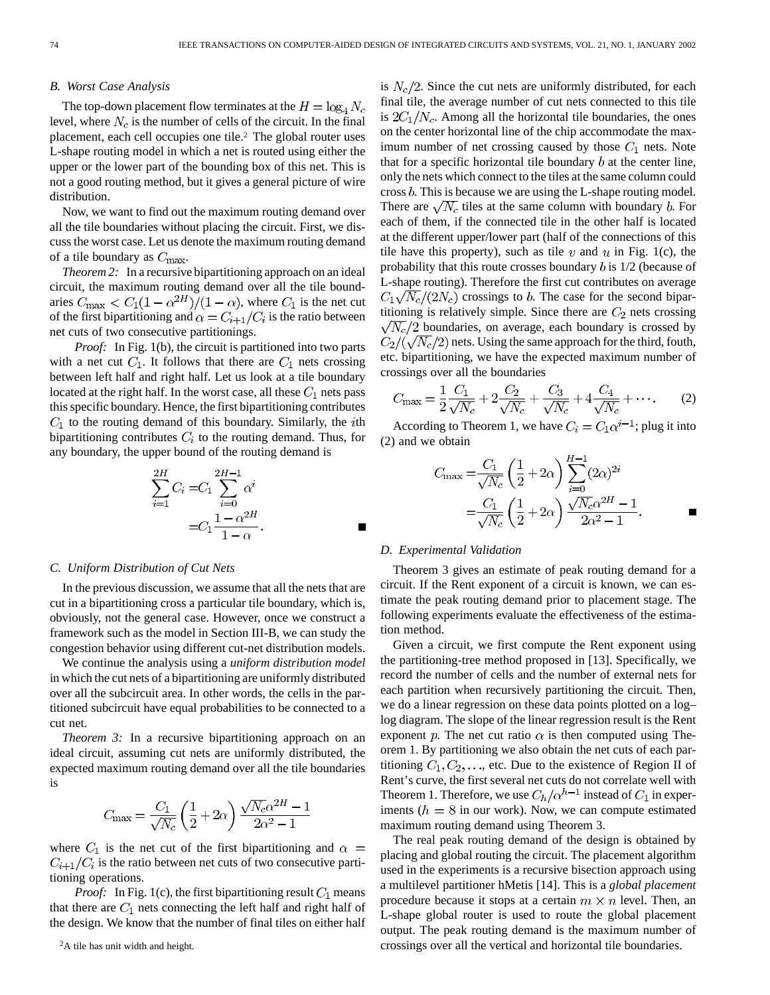## *B. Worst Case Analysis*

The top-down placement flow terminates at the  $H = \log_4 N_c$ level, where  $N_c$  is the number of cells of the circuit. In the final placement, each cell occupies one tile.2 The global router uses L-shape routing model in which a net is routed using either the upper or the lower part of the bounding box of this net. This is not a good routing method, but it gives a general picture of wire distribution.

Now, we want to find out the maximum routing demand over all the tile boundaries without placing the circuit. First, we discuss the worst case. Let us denote the maximum routing demand of a tile boundary as  $C_{\text{max}}$ .

*Theorem 2:* In a recursive bipartitioning approach on an ideal circuit, the maximum routing demand over all the tile boundaries  $C_{\text{max}} < C_1(1-\alpha^{2H})/(1-\alpha)$ , where  $C_1$  is the net cut of the first bipartitioning and  $\alpha = C_{i+1}/C_i$  is the ratio between net cuts of two consecutive partitionings.

*Proof:* In Fig. 1(b), the circuit is partitioned into two parts with a net cut  $C_1$ . It follows that there are  $C_1$  nets crossing between left half and right half. Let us look at a tile boundary located at the right half. In the worst case, all these  $C_1$  nets pass this specific boundary. Hence, the first bipartitioning contributes  $C_1$  to the routing demand of this boundary. Similarly, the *i*th bipartitioning contributes  $C_i$  to the routing demand. Thus, for any boundary, the upper bound of the routing demand is

$$
\sum_{i=1}^{2H} C_i = C_1 \sum_{i=0}^{2H-1} \alpha^i
$$

$$
= C_1 \frac{1 - \alpha^{2H}}{1 - \alpha}.
$$

## *C. Uniform Distribution of Cut Nets*

In the previous discussion, we assume that all the nets that are cut in a bipartitioning cross a particular tile boundary, which is, obviously, not the general case. However, once we construct a framework such as the model in Section III-B, we can study the congestion behavior using different cut-net distribution models.

We continue the analysis using a *uniform distribution model* in which the cut nets of a bipartitioning are uniformly distributed over all the subcircuit area. In other words, the cells in the partitioned subcircuit have equal probabilities to be connected to a cut net.

*Theorem 3:* In a recursive bipartitioning approach on an ideal circuit, assuming cut nets are uniformly distributed, the expected maximum routing demand over all the tile boundaries is

$$
C_{\text{max}} = \frac{C_1}{\sqrt{N_c}} \left(\frac{1}{2} + 2\alpha\right) \frac{\sqrt{N_c \alpha^{2H} - 1}}{2\alpha^2 - 1}
$$

where  $C_1$  is the net cut of the first bipartitioning and  $\alpha =$  $C_{i+1}/C_i$  is the ratio between net cuts of two consecutive partitioning operations.

*Proof:* In Fig. 1(c), the first bipartitioning result  $C_1$  means that there are  $C_1$  nets connecting the left half and right half of the design. We know that the number of final tiles on either half is  $N_c/2$ . Since the cut nets are uniformly distributed, for each final tile, the average number of cut nets connected to this tile is  $2C_1/N_c$ . Among all the horizontal tile boundaries, the ones on the center horizontal line of the chip accommodate the maximum number of net crossing caused by those  $C_1$  nets. Note that for a specific horizontal tile boundary  $b$  at the center line, only the nets which connect to the tiles at the same column could cross  $b$ . This is because we are using the L-shape routing model. There are  $\sqrt{N_c}$  tiles at the same column with boundary b. For each of them, if the connected tile in the other half is located at the different upper/lower part (half of the connections of this tile have this property), such as tile v and u in Fig. 1(c), the probability that this route crosses boundary  $b$  is  $1/2$  (because of L-shape routing). Therefore the first cut contributes on average  $C_1\sqrt{N_c}/(2N_c)$  crossings to b. The case for the second bipartitioning is relatively simple. Since there are  $C_2$  nets crossing  $\sqrt{N_c}/2$  boundaries, on average, each boundary is crossed by  $C_2/(\sqrt{N_c}/2)$  nets. Using the same approach for the third, fouth, etc. bipartitioning, we have the expected maximum number of crossings over all the boundaries

$$
C_{\text{max}} = \frac{1}{2} \frac{C_1}{\sqrt{N_c}} + 2 \frac{C_2}{\sqrt{N_c}} + \frac{C_3}{\sqrt{N_c}} + 4 \frac{C_4}{\sqrt{N_c}} + \cdots
$$
 (2)

According to Theorem 1, we have  $C_i = C_1 \alpha^{i-1}$ ; plug it into (2) and we obtain

$$
C_{\max} = \frac{C_1}{\sqrt{N_c}} \left(\frac{1}{2} + 2\alpha\right) \sum_{i=0}^{H-1} (2\alpha)^{2i}
$$
  
=  $\frac{C_1}{\sqrt{N_c}} \left(\frac{1}{2} + 2\alpha\right) \frac{\sqrt{N_c} \alpha^{2H} - 1}{2\alpha^2 - 1}.$ 

#### *D. Experimental Validation*

Theorem 3 gives an estimate of peak routing demand for a circuit. If the Rent exponent of a circuit is known, we can estimate the peak routing demand prior to placement stage. The following experiments evaluate the effectiveness of the estimation method.

Given a circuit, we first compute the Rent exponent using the partitioning-tree method proposed in [13]. Specifically, we record the number of cells and the number of external nets for each partition when recursively partitioning the circuit. Then, we do a linear regression on these data points plotted on a log– log diagram. The slope of the linear regression result is the Rent exponent p. The net cut ratio  $\alpha$  is then computed using Theorem 1. By partitioning we also obtain the net cuts of each partitioning  $C_1, C_2, \ldots$ , etc. Due to the existence of Region II of Rent's curve, the first several net cuts do not correlate well with Theorem 1. Therefore, we use  $C_h/\alpha^{h-1}$  instead of  $C_1$  in experiments ( $h = 8$  in our work). Now, we can compute estimated maximum routing demand using Theorem 3.

The real peak routing demand of the design is obtained by placing and global routing the circuit. The placement algorithm used in the experiments is a recursive bisection approach using a multilevel partitioner hMetis [14]. This is a *global placement* procedure because it stops at a certain  $m \times n$  level. Then, an L-shape global router is used to route the global placement output. The peak routing demand is the maximum number of crossings over all the vertical and horizontal tile boundaries.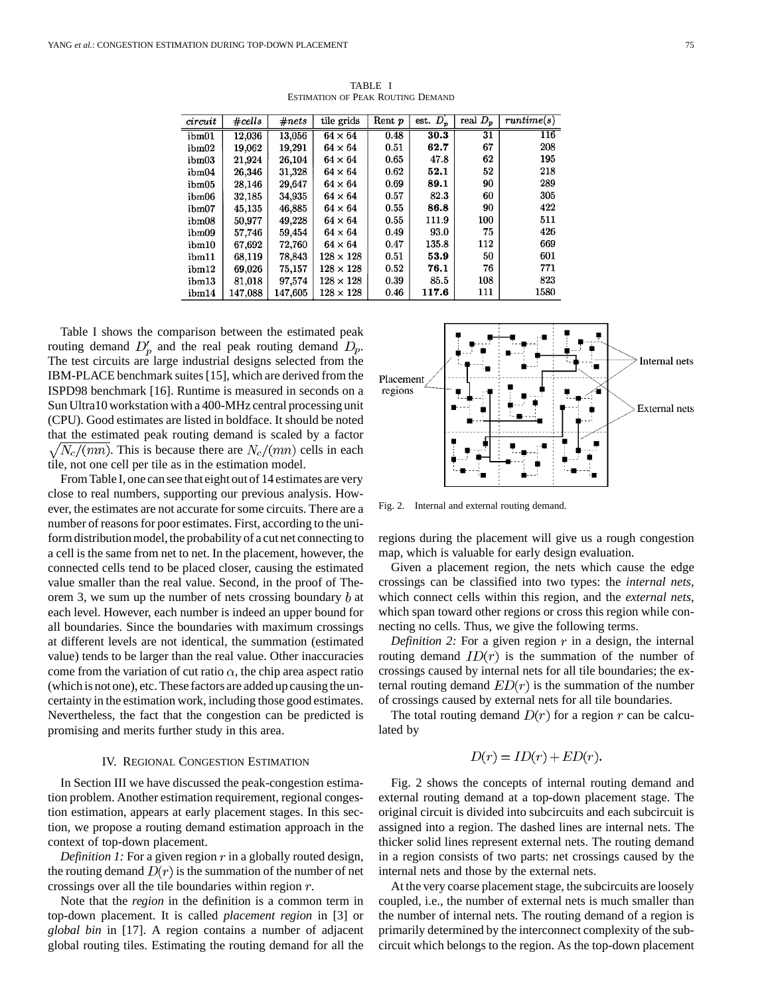circuit  $ibm01$ ibm02 ibm03 ibm04 ibm05 ibm06 ibm07 ibm08 ibm09 ibm10 ibm11 ibm12

| $\#cells$ | #nets  | tile grids     | Rent p | est. $D_n$ | real $D_n$ | $\mathit{ runtime}(s)$ |
|-----------|--------|----------------|--------|------------|------------|------------------------|
| 12.036    | 13,056 | $64 \times 64$ | 0.48   | 30.3       | 31         | 116                    |
| 19,062    | 19.291 | $64 \times 64$ | 0.51   | 62.7       | 67         | 208                    |
| 21,924    | 26,104 | $64 \times 64$ | 0.65   | 47.8       | 62         | 195                    |
| 26,346    | 31,328 | $64 \times 64$ | 0.62   | 52.1       | 52         | 218                    |
| 28,146    | 29,647 | $64 \times 64$ | 0.69   | 89.1       | 90         | 289                    |
| 32,185    | 34,935 | $64 \times 64$ | 0.57   | 82.3       | 60         | 305                    |
| 45,135    | 46,885 | $64 \times 64$ | 0.55   | 86.8       | 90         | 422                    |
| 50,977    | 49,228 | $64 \times 64$ | 0.55   | 111.9      | 100        | 511                    |
| 57,746    | 59,454 | $64 \times 64$ | 0.49   | 93.0       | 75         | 426                    |
| 67,692    | 72.760 | $64 \times 64$ | 0.47   | 135.8      | 112        | 669                    |
| 68,119    | 78,843 | $128\times128$ | 0.51   | 53.9       | 50         | 601                    |
| 69.026    | 75.157 | $128\times128$ | 0.52   | 76.1       | 76         | 771                    |

0.39

 $0.46$ 

85.5

117.6

108

111

 $128 \times 128$ 

 $128\times128$ 

97,574

147,605

TABLE I ESTIMATION OF PEAK ROUTING DEMAND

Table I shows the comparison between the estimated peak routing demand  $D'_p$  and the real peak routing demand  $D_p$ . The test circuits are large industrial designs selected from the IBM-PLACE benchmark suites [15], which are derived from the ISPD98 benchmark [16]. Runtime is measured in seconds on a Sun Ultra10 workstation with a 400-MHz central processing unit (CPU). Good estimates are listed in boldface. It should be noted that the estimated peak routing demand is scaled by a factor  $\sqrt{N_c/(mn)}$ . This is because there are  $N_c/(mn)$  cells in each tile, not one cell per tile as in the estimation model.

ibm13

ibm14

81,018

147,088

From Table I, one can see that eight out of 14 estimates are very close to real numbers, supporting our previous analysis. However, the estimates are not accurate for some circuits. There are a number of reasons for poor estimates. First, according to the uniform distribution model, the probability of a cut net connecting to a cell is the same from net to net. In the placement, however, the connected cells tend to be placed closer, causing the estimated value smaller than the real value. Second, in the proof of Theorem 3, we sum up the number of nets crossing boundary  $b$  at each level. However, each number is indeed an upper bound for all boundaries. Since the boundaries with maximum crossings at different levels are not identical, the summation (estimated value) tends to be larger than the real value. Other inaccuracies come from the variation of cut ratio  $\alpha$ , the chip area aspect ratio (which is not one), etc. These factors are added up causing the uncertainty in the estimation work, including those good estimates. Nevertheless, the fact that the congestion can be predicted is promising and merits further study in this area.

#### IV. REGIONAL CONGESTION ESTIMATION

In Section III we have discussed the peak-congestion estimation problem. Another estimation requirement, regional congestion estimation, appears at early placement stages. In this section, we propose a routing demand estimation approach in the context of top-down placement.

*Definition 1:* For a given region  $r$  in a globally routed design, the routing demand  $D(r)$  is the summation of the number of net crossings over all the tile boundaries within region  $r$ .

Note that the *region* in the definition is a common term in top-down placement. It is called *placement region* in [3] or *global bin* in [17]. A region contains a number of adjacent global routing tiles. Estimating the routing demand for all the



823

1580

Fig. 2. Internal and external routing demand.

regions during the placement will give us a rough congestion map, which is valuable for early design evaluation.

Given a placement region, the nets which cause the edge crossings can be classified into two types: the *internal nets*, which connect cells within this region, and the *external nets*, which span toward other regions or cross this region while connecting no cells. Thus, we give the following terms.

*Definition 2:* For a given region  $r$  in a design, the internal routing demand  $ID(r)$  is the summation of the number of crossings caused by internal nets for all tile boundaries; the external routing demand  $ED(r)$  is the summation of the number of crossings caused by external nets for all tile boundaries.

The total routing demand  $D(r)$  for a region r can be calculated by

$$
D(r) = ID(r) + ED(r).
$$

Fig. 2 shows the concepts of internal routing demand and external routing demand at a top-down placement stage. The original circuit is divided into subcircuits and each subcircuit is assigned into a region. The dashed lines are internal nets. The thicker solid lines represent external nets. The routing demand in a region consists of two parts: net crossings caused by the internal nets and those by the external nets.

At the very coarse placement stage, the subcircuits are loosely coupled, i.e., the number of external nets is much smaller than the number of internal nets. The routing demand of a region is primarily determined by the interconnect complexity of the subcircuit which belongs to the region. As the top-down placement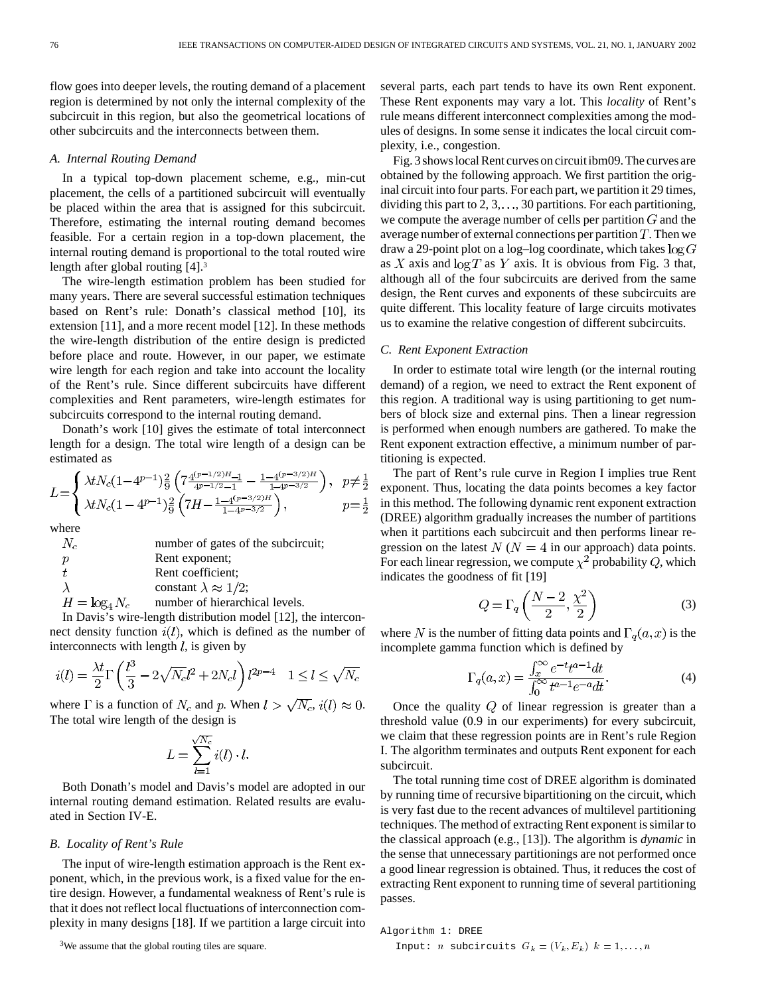flow goes into deeper levels, the routing demand of a placement region is determined by not only the internal complexity of the subcircuit in this region, but also the geometrical locations of other subcircuits and the interconnects between them.

#### *A. Internal Routing Demand*

In a typical top-down placement scheme, e.g., min-cut placement, the cells of a partitioned subcircuit will eventually be placed within the area that is assigned for this subcircuit. Therefore, estimating the internal routing demand becomes feasible. For a certain region in a top-down placement, the internal routing demand is proportional to the total routed wire length after global routing [4].3

The wire-length estimation problem has been studied for many years. There are several successful estimation techniques based on Rent's rule: Donath's classical method [10], its extension [11], and a more recent model [12]. In these methods the wire-length distribution of the entire design is predicted before place and route. However, in our paper, we estimate wire length for each region and take into account the locality of the Rent's rule. Since different subcircuits have different complexities and Rent parameters, wire-length estimates for subcircuits correspond to the internal routing demand.

Donath's work [10] gives the estimate of total interconnect length for a design. The total wire length of a design can be estimated as

$$
L = \begin{cases} \lambda t N_c (1 - 4^{p-1}) \frac{2}{9} \left( 7 \frac{4^{(p-1/2)H} - 1}{4^{p-1/2} - 1} - \frac{1 - 4^{(p-3/2)H}}{1 - 4^{p-3/2}} \right), & p \neq \frac{1}{2} \\ \lambda t N_c (1 - 4^{p-1}) \frac{2}{9} \left( 7H - \frac{1 - 4^{(p-3/2)H}}{1 - 4^{p-3/2}} \right), & p = \frac{1}{2} \end{cases}
$$

where

 $N_c$ number of gates of the subcircuit; Rent exponent;  $\overline{p}$  $\boldsymbol{t}$ Rent coefficient;  $\lambda$ constant  $\lambda \approx 1/2$ ; number of hierarchical levels.  $H = \log_4 N_c$ 

In Davis's wire-length distribution model [12], the interconnect density function  $i(l)$ , which is defined as the number of interconnects with length  $l$ , is given by

$$
i(l) = \frac{\lambda t}{2} \Gamma\left(\frac{l^3}{3} - 2\sqrt{N_c}l^2 + 2N_c l\right) l^{2p-4} \quad 1 \le l \le \sqrt{N_c}
$$

where  $\Gamma$  is a function of  $N_c$  and p. When  $l > \sqrt{N_c}$ ,  $i(l) \approx 0$ . The total wire length of the design is

$$
L = \sum_{l=1}^{\sqrt{N_c}} i(l) \cdot l.
$$

Both Donath's model and Davis's model are adopted in our internal routing demand estimation. Related results are evaluated in Section IV-E.

## *B. Locality of Rent's Rule*

The input of wire-length estimation approach is the Rent exponent, which, in the previous work, is a fixed value for the entire design. However, a fundamental weakness of Rent's rule is that it does not reflect local fluctuations of interconnection complexity in many designs [18]. If we partition a large circuit into

3We assume that the global routing tiles are square.

several parts, each part tends to have its own Rent exponent. These Rent exponents may vary a lot. This *locality* of Rent's rule means different interconnect complexities among the modules of designs. In some sense it indicates the local circuit complexity, i.e., congestion.

Fig. 3 shows local Rent curves on circuit ibm09. The curves are obtained by the following approach. We first partition the original circuit into four parts. For each part, we partition it 29 times, dividing this part to  $2, 3, \ldots, 30$  partitions. For each partitioning, we compute the average number of cells per partition  $G$  and the average number of external connections per partition  $T$ . Then we draw a 29-point plot on a log-log coordinate, which takes  $\log G$ as X axis and  $\log T$  as Y axis. It is obvious from Fig. 3 that, although all of the four subcircuits are derived from the same design, the Rent curves and exponents of these subcircuits are quite different. This locality feature of large circuits motivates us to examine the relative congestion of different subcircuits.

#### *C. Rent Exponent Extraction*

In order to estimate total wire length (or the internal routing demand) of a region, we need to extract the Rent exponent of this region. A traditional way is using partitioning to get numbers of block size and external pins. Then a linear regression is performed when enough numbers are gathered. To make the Rent exponent extraction effective, a minimum number of partitioning is expected.

The part of Rent's rule curve in Region I implies true Rent exponent. Thus, locating the data points becomes a key factor in this method. The following dynamic rent exponent extraction (DREE) algorithm gradually increases the number of partitions when it partitions each subcircuit and then performs linear regression on the latest  $N(N = 4$  in our approach) data points. For each linear regression, we compute  $\chi^2$  probability  $Q$ , which indicates the goodness of fit [19]

$$
Q = \Gamma_q \left( \frac{N-2}{2}, \frac{\chi^2}{2} \right) \tag{3}
$$

where N is the number of fitting data points and  $\Gamma_q(a, x)$  is the incomplete gamma function which is defined by

$$
\Gamma_q(a,x) = \frac{\int_x^{\infty} e^{-t} t^{a-1} dt}{\int_0^{\infty} t^{a-1} e^{-a} dt}.
$$
\n(4)

Once the quality  $Q$  of linear regression is greater than a threshold value (0.9 in our experiments) for every subcircuit, we claim that these regression points are in Rent's rule Region I. The algorithm terminates and outputs Rent exponent for each subcircuit.

The total running time cost of DREE algorithm is dominated by running time of recursive bipartitioning on the circuit, which is very fast due to the recent advances of multilevel partitioning techniques. The method of extracting Rent exponent is similar to the classical approach (e.g., [13]). The algorithm is *dynamic* in the sense that unnecessary partitionings are not performed once a good linear regression is obtained. Thus, it reduces the cost of extracting Rent exponent to running time of several partitioning passes.

Algorithm 1: DREE

Input: *n* subcircuits  $G_k = (V_k, E_k)$   $k = 1, ..., n$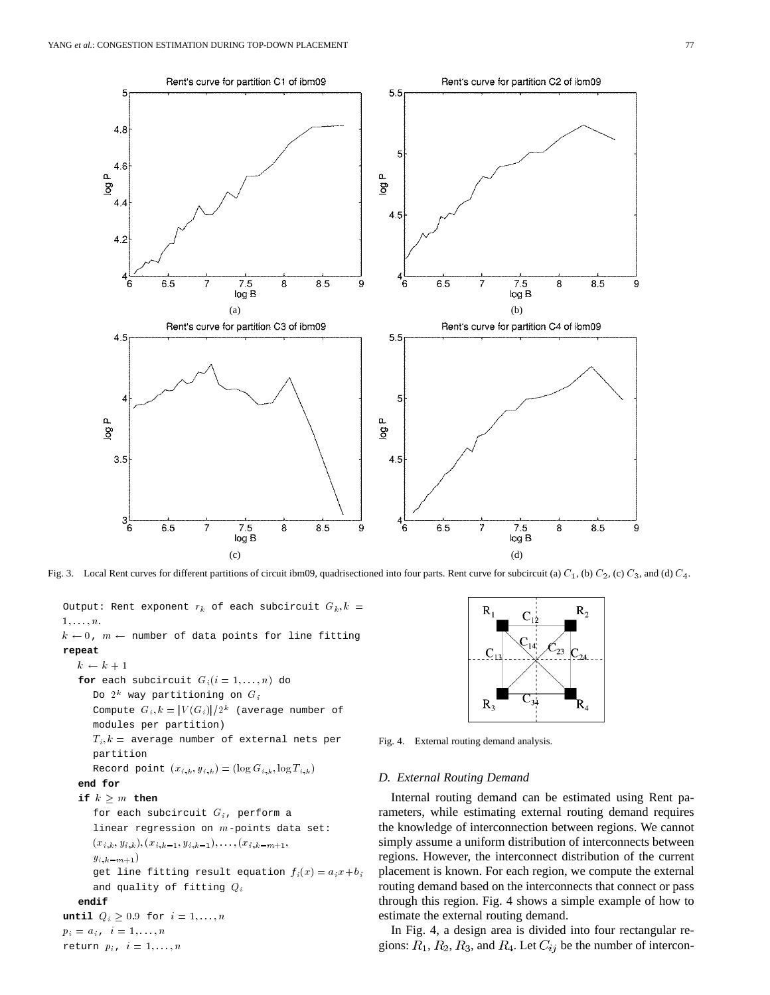

Fig. 3. Local Rent curves for different partitions of circuit ibm09, quadrisectioned into four parts. Rent curve for subcircuit (a)  $C_1$ , (b)  $C_2$ , (c)  $C_3$ , and (d)  $C_4$ .

Output: Rent exponent  $r_k$  of each subcircuit  $G_k, k =$  $1, \ldots, n$ .

 $k \leftarrow 0$ ,  $m \leftarrow$  number of data points for line fitting **repeat**

## $k \leftarrow k + 1$

 $p_i = a_i, i = 1, \ldots, n$ return  $p_i$ ,  $i = 1, \ldots, n$ 

**for** each subcircuit  $G_i(i = 1, ..., n)$  do Do  $2^k$  way partitioning on  $G_i$ Compute  $G_i, k = |V(G_i)|/2^k$  (average number of modules per partition)  $T_i, k =$  average number of external nets per partition Record point  $(x_{i,k}, y_{i,k}) = (\log G_{i,k}, \log T_{i,k})$ **end for** if  $k \geq m$  then for each subcircuit  $G_i$ , perform a linear regression on m-points data set:

 $(x_{i,k}, y_{i,k}), (x_{i,k-1}, y_{i,k-1}), \ldots, (x_{i,k-m+1},$  $y_{i,k-m+1}$ ) get line fitting result equation  $f_i(x) = a_i x + b_i$ and quality of fitting  $Q_i$ **endif until**  $Q_i \geq 0.9$  for  $i = 1, ..., n$ 

R  $\mathbf{R}_{2}$  $C_{12}^{\dagger}$  $-14$ C  $\mathrm{C}_{34}$  $R_3$ 

Fig. 4. External routing demand analysis.

#### *D. External Routing Demand*

Internal routing demand can be estimated using Rent parameters, while estimating external routing demand requires the knowledge of interconnection between regions. We cannot simply assume a uniform distribution of interconnects between regions. However, the interconnect distribution of the current placement is known. For each region, we compute the external routing demand based on the interconnects that connect or pass through this region. Fig. 4 shows a simple example of how to estimate the external routing demand.

In Fig. 4, a design area is divided into four rectangular regions:  $R_1$ ,  $R_2$ ,  $R_3$ , and  $R_4$ . Let  $C_{ij}$  be the number of intercon-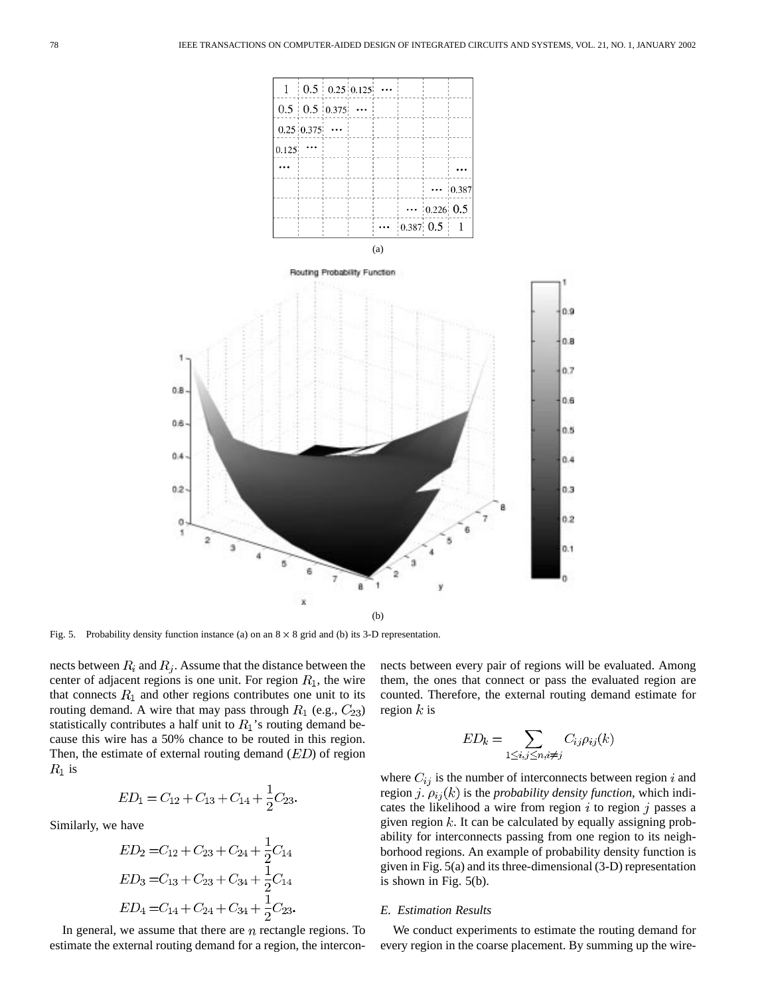

Fig. 5. Probability density function instance (a) on an  $8 \times 8$  grid and (b) its 3-D representation.

nects between  $R_i$  and  $R_j$ . Assume that the distance between the center of adjacent regions is one unit. For region  $R_1$ , the wire that connects  $R_1$  and other regions contributes one unit to its routing demand. A wire that may pass through  $R_1$  (e.g.,  $C_{23}$ ) statistically contributes a half unit to  $R_1$ 's routing demand because this wire has a 50% chance to be routed in this region. Then, the estimate of external routing demand  $(ED)$  of region  $R_1$  is

$$
ED_1 = C_{12} + C_{13} + C_{14} + \frac{1}{2}C_{23}.
$$

Similarly, we have

$$
ED_2 = C_{12} + C_{23} + C_{24} + \frac{1}{2}C_{14}
$$
  
\n
$$
ED_3 = C_{13} + C_{23} + C_{34} + \frac{1}{2}C_{14}
$$
  
\n
$$
ED_4 = C_{14} + C_{24} + C_{34} + \frac{1}{2}C_{23}.
$$

In general, we assume that there are  $n$  rectangle regions. To estimate the external routing demand for a region, the interconnects between every pair of regions will be evaluated. Among them, the ones that connect or pass the evaluated region are counted. Therefore, the external routing demand estimate for region  $k$  is

$$
ED_k = \sum_{1 \le i,j \le n, i \ne j} C_{ij} \rho_{ij}(k)
$$

where  $C_{ij}$  is the number of interconnects between region i and region *j*.  $\rho_{ij}(k)$  is the *probability density function*, which indicates the likelihood a wire from region  $i$  to region  $j$  passes a given region  $k$ . It can be calculated by equally assigning probability for interconnects passing from one region to its neighborhood regions. An example of probability density function is given in Fig. 5(a) and its three-dimensional (3-D) representation is shown in Fig. 5(b).

## *E. Estimation Results*

We conduct experiments to estimate the routing demand for every region in the coarse placement. By summing up the wire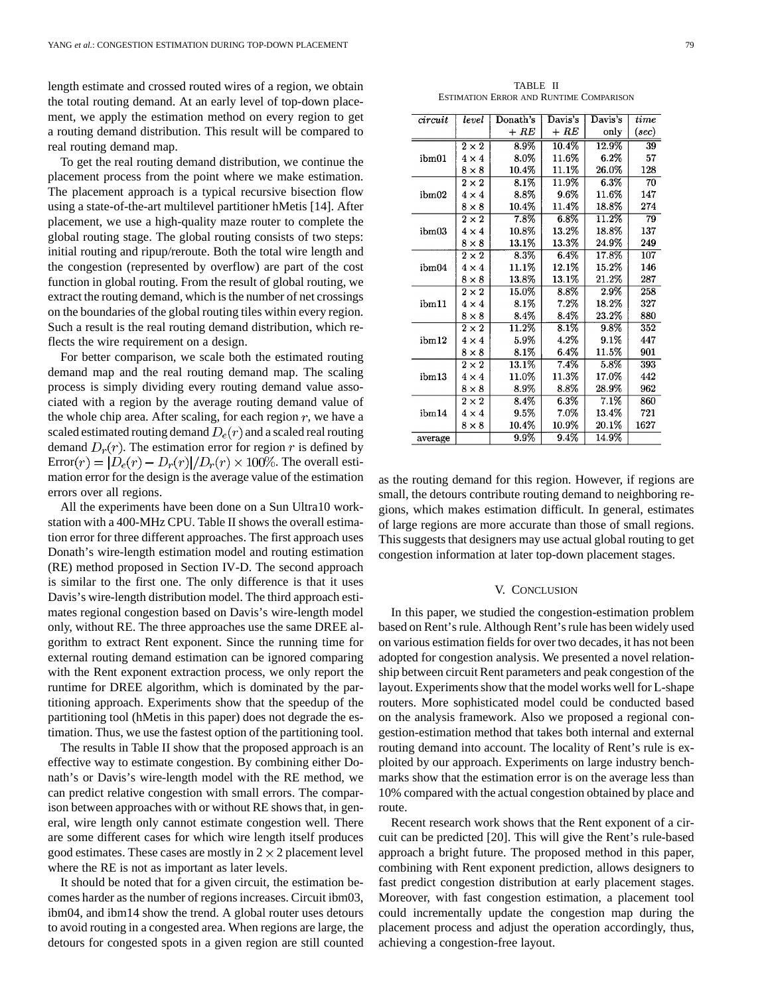length estimate and crossed routed wires of a region, we obtain the total routing demand. At an early level of top-down placement, we apply the estimation method on every region to get a routing demand distribution. This result will be compared to real routing demand map.

To get the real routing demand distribution, we continue the placement process from the point where we make estimation. The placement approach is a typical recursive bisection flow using a state-of-the-art multilevel partitioner hMetis [14]. After placement, we use a high-quality maze router to complete the global routing stage. The global routing consists of two steps: initial routing and ripup/reroute. Both the total wire length and the congestion (represented by overflow) are part of the cost function in global routing. From the result of global routing, we extract the routing demand, which is the number of net crossings on the boundaries of the global routing tiles within every region. Such a result is the real routing demand distribution, which reflects the wire requirement on a design.

For better comparison, we scale both the estimated routing demand map and the real routing demand map. The scaling process is simply dividing every routing demand value associated with a region by the average routing demand value of the whole chip area. After scaling, for each region  $r$ , we have a scaled estimated routing demand  $D_e(r)$  and a scaled real routing demand  $D_r(r)$ . The estimation error for region r is defined by  $Error(r) = |D_e(r) - D_r(r)|/D_r(r) \times 100\%.$  The overall estimation error for the design is the average value of the estimation errors over all regions.

All the experiments have been done on a Sun Ultra10 workstation with a 400-MHz CPU. Table II shows the overall estimation error for three different approaches. The first approach uses Donath's wire-length estimation model and routing estimation (RE) method proposed in Section IV-D. The second approach is similar to the first one. The only difference is that it uses Davis's wire-length distribution model. The third approach estimates regional congestion based on Davis's wire-length model only, without RE. The three approaches use the same DREE algorithm to extract Rent exponent. Since the running time for external routing demand estimation can be ignored comparing with the Rent exponent extraction process, we only report the runtime for DREE algorithm, which is dominated by the partitioning approach. Experiments show that the speedup of the partitioning tool (hMetis in this paper) does not degrade the estimation. Thus, we use the fastest option of the partitioning tool.

The results in Table II show that the proposed approach is an effective way to estimate congestion. By combining either Donath's or Davis's wire-length model with the RE method, we can predict relative congestion with small errors. The comparison between approaches with or without RE shows that, in general, wire length only cannot estimate congestion well. There are some different cases for which wire length itself produces good estimates. These cases are mostly in  $2 \times 2$  placement level where the RE is not as important as later levels.

It should be noted that for a given circuit, the estimation becomes harder as the number of regions increases. Circuit ibm03, ibm04, and ibm14 show the trend. A global router uses detours to avoid routing in a congested area. When regions are large, the detours for congested spots in a given region are still counted

TABLE II ESTIMATION ERROR AND RUNTIME COMPARISON

| circuit | level                  | Donath's  | Davis's  | Davis's  | time  |
|---------|------------------------|-----------|----------|----------|-------|
|         |                        | $+ \, RE$ | $+RE$    | only     | (sec) |
|         | $\overline{2\times 2}$ | $8.9\%$   | $10.4\%$ | $12.9\%$ | 39    |
| ibm01   | $4 \times 4$           | $8.0\%$   | 11.6%    | $6.2\%$  | 57    |
|         | $8 \times 8$           | 10.4%     | 11.1%    | 26.0%    | 128   |
|         | $2\times 2$            | $8.1\%$   | 11.9%    | 6.3%     | 70    |
| ibm02   | $4 \times 4$           | $8.8\%$   | $9.6\%$  | 11.6%    | 147   |
|         | $8 \times 8$           | $10.4\%$  | 11.4%    | 18.8%    | 274   |
|         | $2 \times 2$           | 7.8%      | 6.8%     | $11.2\%$ | 79    |
| ibm03   | $4 \times 4$           | $10.8\%$  | 13.2%    | 18.8%    | 137   |
|         | $8 \times 8$           | 13.1%     | $13.3\%$ | 24.9%    | 249   |
|         | $2 \times 2$           | $8.3\%$   | $6.4\%$  | 17.8%    | 107   |
| ibm04   | $4 \times 4$           | 11.1%     | 12.1%    | 15.2%    | 146   |
|         | $8 \times 8$           | 13.8%     | $13.1\%$ | $21.2\%$ | 287   |
|         | $2 \times 2$           | 15.0%     | $8.8\%$  | 2.9%     | 258   |
| ibm11   | $4 \times 4$           | $8.1\%$   | 7.2%     | 18.2%    | 327   |
|         | $8 \times 8$           | $8.4\%$   | 8.4%     | $23.2\%$ | 880   |
|         | $2\times 2$            | 11.2%     | 8.1%     | 9.8%     | 352   |
| ibm12   | $4 \times 4$           | $5.9\%$   | $4.2\%$  | $9.1\%$  | 447   |
|         | $8 \times 8$           | $8.1\%$   | $6.4\%$  | $11.5\%$ | 901   |
|         | $2\times 2$            | 13.1%     | 7.4%     | $5.8\%$  | 393   |
| ibm13   | $4 \times 4$           | $11.0\%$  | $11.3\%$ | 17.0%    | 442   |
|         | $8 \times 8$           | $8.9\%$   | 8.8%     | 28.9%    | 962   |
|         | $2\times 2$            | 8.4%      | 6.3%     | 7.1%     | 860   |
| ibm14   | $4 \times 4$           | $9.5\%$   | 7.0%     | 13.4%    | 721   |
|         | $8 \times 8$           | 10.4%     | $10.9\%$ | 20.1%    | 1627  |
| average |                        | 9.9%      | 9.4%     | 14.9%    |       |

as the routing demand for this region. However, if regions are small, the detours contribute routing demand to neighboring regions, which makes estimation difficult. In general, estimates of large regions are more accurate than those of small regions. This suggests that designers may use actual global routing to get congestion information at later top-down placement stages.

#### V. CONCLUSION

In this paper, we studied the congestion-estimation problem based on Rent's rule. Although Rent's rule has been widely used on various estimation fields for over two decades, it has not been adopted for congestion analysis. We presented a novel relationship between circuit Rent parameters and peak congestion of the layout. Experiments show that the model works well for L-shape routers. More sophisticated model could be conducted based on the analysis framework. Also we proposed a regional congestion-estimation method that takes both internal and external routing demand into account. The locality of Rent's rule is exploited by our approach. Experiments on large industry benchmarks show that the estimation error is on the average less than 10% compared with the actual congestion obtained by place and route.

Recent research work shows that the Rent exponent of a circuit can be predicted [20]. This will give the Rent's rule-based approach a bright future. The proposed method in this paper, combining with Rent exponent prediction, allows designers to fast predict congestion distribution at early placement stages. Moreover, with fast congestion estimation, a placement tool could incrementally update the congestion map during the placement process and adjust the operation accordingly, thus, achieving a congestion-free layout.